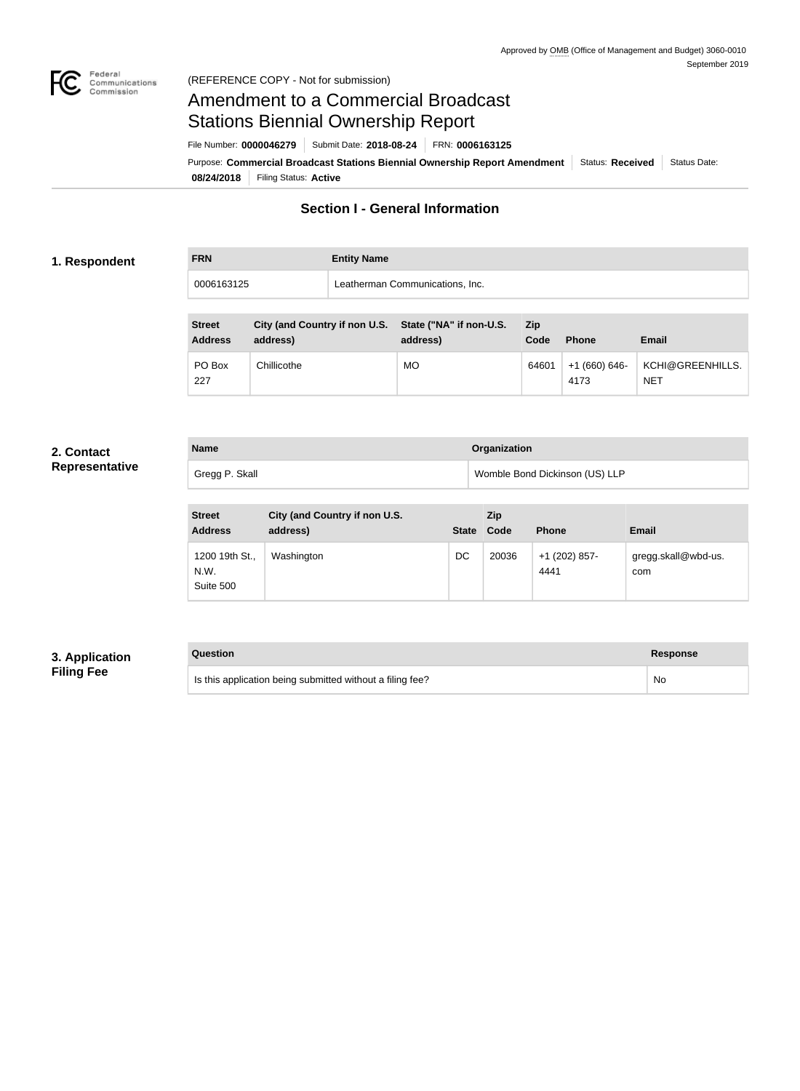

# Amendment to a Commercial Broadcast Stations Biennial Ownership Report

**08/24/2018** Filing Status: **Active** Purpose: Commercial Broadcast Stations Biennial Ownership Report Amendment Status: Received Status Date: File Number: **0000046279** Submit Date: **2018-08-24** FRN: **0006163125**

**Section I - General Information**

### **1. Respondent**

| <b>FRN</b> | <b>Entity Name</b>              |
|------------|---------------------------------|
| 0006163125 | Leatherman Communications, Inc. |

| <b>Street</b><br><b>Address</b> | City (and Country if non U.S. State ("NA" if non-U.S.<br>address) | address) | Zip<br>Code | <b>Phone</b>          | <b>Email</b>                   |
|---------------------------------|-------------------------------------------------------------------|----------|-------------|-----------------------|--------------------------------|
| PO Box<br>227                   | Chillicothe                                                       | MO.      | 64601       | +1 (660) 646-<br>4173 | KCHI@GREENHILLS.<br><b>NET</b> |

#### **2. Contact Representative**

| Representative |  |  |  |  |
|----------------|--|--|--|--|
|                |  |  |  |  |

| <b>Name</b>    | Organization                   |
|----------------|--------------------------------|
| Gregg P. Skall | Womble Bond Dickinson (US) LLP |

| <b>Street</b><br><b>Address</b>     | City (and Country if non U.S.<br>address) | State Code | Zip   | <b>Phone</b>          | <b>Email</b>               |
|-------------------------------------|-------------------------------------------|------------|-------|-----------------------|----------------------------|
| 1200 19th St.,<br>N.W.<br>Suite 500 | Washington                                | DC         | 20036 | +1 (202) 857-<br>4441 | gregg.skall@wbd-us.<br>com |

## **3. Application Filing Fee**

# **Question Response**

Is this application being submitted without a filing fee? No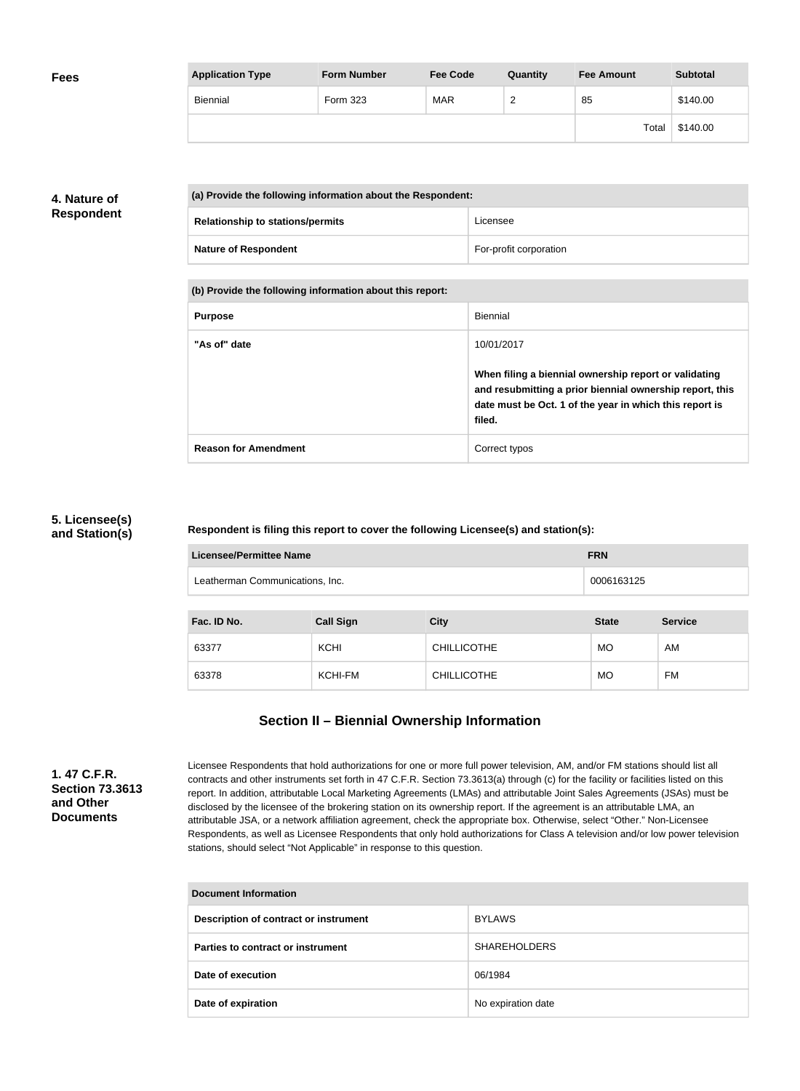| <b>Fees</b> | <b>Application Type</b> | <b>Form Number</b> | <b>Fee Code</b> | Quantity               | <b>Fee Amount</b> | <b>Subtotal</b> |
|-------------|-------------------------|--------------------|-----------------|------------------------|-------------------|-----------------|
|             | Biennial                | Form 323           | <b>MAR</b>      | $\sqrt{2}$<br><u>_</u> | 85                | \$140.00        |
|             |                         |                    |                 |                        | Total             | \$140.00        |

# **4. Nature of Respondent**

| (a) Provide the following information about the Respondent: |                                         |                        |
|-------------------------------------------------------------|-----------------------------------------|------------------------|
|                                                             | <b>Relationship to stations/permits</b> | Licensee               |
|                                                             | <b>Nature of Respondent</b>             | For-profit corporation |

**(b) Provide the following information about this report:**

| <b>Purpose</b>              | <b>Biennial</b>                                                                                                                                                                        |
|-----------------------------|----------------------------------------------------------------------------------------------------------------------------------------------------------------------------------------|
| "As of" date                | 10/01/2017                                                                                                                                                                             |
|                             | When filing a biennial ownership report or validating<br>and resubmitting a prior biennial ownership report, this<br>date must be Oct. 1 of the year in which this report is<br>filed. |
| <b>Reason for Amendment</b> | Correct typos                                                                                                                                                                          |

#### **5. Licensee(s) and Station(s)**

#### **Respondent is filing this report to cover the following Licensee(s) and station(s):**

| <b>Licensee/Permittee Name</b>  |                  | <b>FRN</b>         |              |                |
|---------------------------------|------------------|--------------------|--------------|----------------|
| Leatherman Communications, Inc. | 0006163125       |                    |              |                |
| Fac. ID No.                     | <b>Call Sign</b> | <b>City</b>        | <b>State</b> | <b>Service</b> |
| 63377                           | KCHI             | <b>CHILLICOTHE</b> | <b>MO</b>    | AM             |
| 63378                           | KCHI-FM          | <b>CHILLICOTHE</b> | <b>MO</b>    | FM             |

# **Section II – Biennial Ownership Information**

**1. 47 C.F.R. Section 73.3613 and Other Documents**

Licensee Respondents that hold authorizations for one or more full power television, AM, and/or FM stations should list all contracts and other instruments set forth in 47 C.F.R. Section 73.3613(a) through (c) for the facility or facilities listed on this report. In addition, attributable Local Marketing Agreements (LMAs) and attributable Joint Sales Agreements (JSAs) must be disclosed by the licensee of the brokering station on its ownership report. If the agreement is an attributable LMA, an attributable JSA, or a network affiliation agreement, check the appropriate box. Otherwise, select "Other." Non-Licensee Respondents, as well as Licensee Respondents that only hold authorizations for Class A television and/or low power television stations, should select "Not Applicable" in response to this question.

| Document Information                  |                     |  |  |  |
|---------------------------------------|---------------------|--|--|--|
| Description of contract or instrument | <b>BYLAWS</b>       |  |  |  |
| Parties to contract or instrument     | <b>SHAREHOLDERS</b> |  |  |  |
| Date of execution                     | 06/1984             |  |  |  |
| Date of expiration                    | No expiration date  |  |  |  |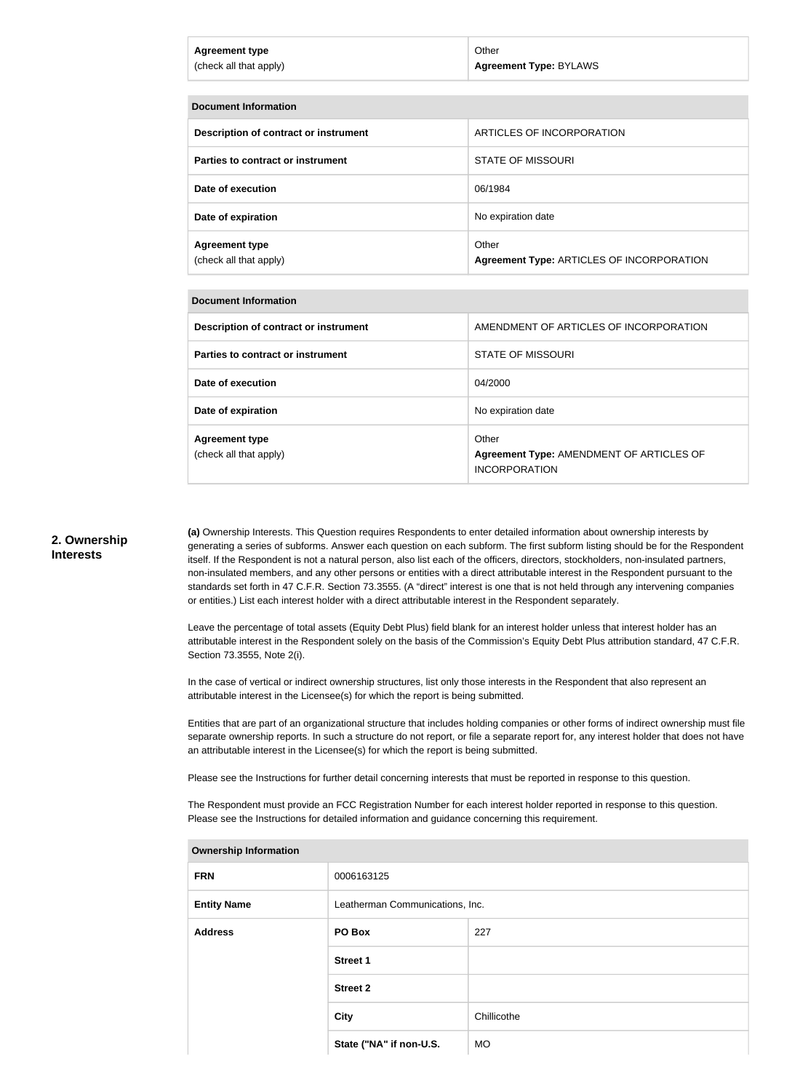| <b>Agreement Type: BYLAWS</b><br>(check all that apply) | Agreement type | Other |
|---------------------------------------------------------|----------------|-------|
|                                                         |                |       |

| Document Information                            |                                                    |
|-------------------------------------------------|----------------------------------------------------|
| Description of contract or instrument           | ARTICLES OF INCORPORATION                          |
| Parties to contract or instrument               | <b>STATE OF MISSOURI</b>                           |
| Date of execution                               | 06/1984                                            |
| Date of expiration                              | No expiration date                                 |
| <b>Agreement type</b><br>(check all that apply) | Other<br>Agreement Type: ARTICLES OF INCORPORATION |

#### **Document Information**

| Description of contract or instrument           | AMENDMENT OF ARTICLES OF INCORPORATION                                    |
|-------------------------------------------------|---------------------------------------------------------------------------|
| Parties to contract or instrument               | STATE OF MISSOURI                                                         |
| Date of execution                               | 04/2000                                                                   |
| Date of expiration                              | No expiration date                                                        |
| <b>Agreement type</b><br>(check all that apply) | Other<br>Agreement Type: AMENDMENT OF ARTICLES OF<br><b>INCORPORATION</b> |

#### **2. Ownership Interests**

**(a)** Ownership Interests. This Question requires Respondents to enter detailed information about ownership interests by generating a series of subforms. Answer each question on each subform. The first subform listing should be for the Respondent itself. If the Respondent is not a natural person, also list each of the officers, directors, stockholders, non-insulated partners, non-insulated members, and any other persons or entities with a direct attributable interest in the Respondent pursuant to the standards set forth in 47 C.F.R. Section 73.3555. (A "direct" interest is one that is not held through any intervening companies or entities.) List each interest holder with a direct attributable interest in the Respondent separately.

Leave the percentage of total assets (Equity Debt Plus) field blank for an interest holder unless that interest holder has an attributable interest in the Respondent solely on the basis of the Commission's Equity Debt Plus attribution standard, 47 C.F.R. Section 73.3555, Note 2(i).

In the case of vertical or indirect ownership structures, list only those interests in the Respondent that also represent an attributable interest in the Licensee(s) for which the report is being submitted.

Entities that are part of an organizational structure that includes holding companies or other forms of indirect ownership must file separate ownership reports. In such a structure do not report, or file a separate report for, any interest holder that does not have an attributable interest in the Licensee(s) for which the report is being submitted.

Please see the Instructions for further detail concerning interests that must be reported in response to this question.

The Respondent must provide an FCC Registration Number for each interest holder reported in response to this question. Please see the Instructions for detailed information and guidance concerning this requirement.

| <b>Ownership Information</b> |                                 |             |
|------------------------------|---------------------------------|-------------|
| <b>FRN</b>                   | 0006163125                      |             |
| <b>Entity Name</b>           | Leatherman Communications, Inc. |             |
| <b>Address</b>               | PO Box                          | 227         |
|                              | <b>Street 1</b>                 |             |
|                              | <b>Street 2</b>                 |             |
|                              | <b>City</b>                     | Chillicothe |
|                              | State ("NA" if non-U.S.         | <b>MO</b>   |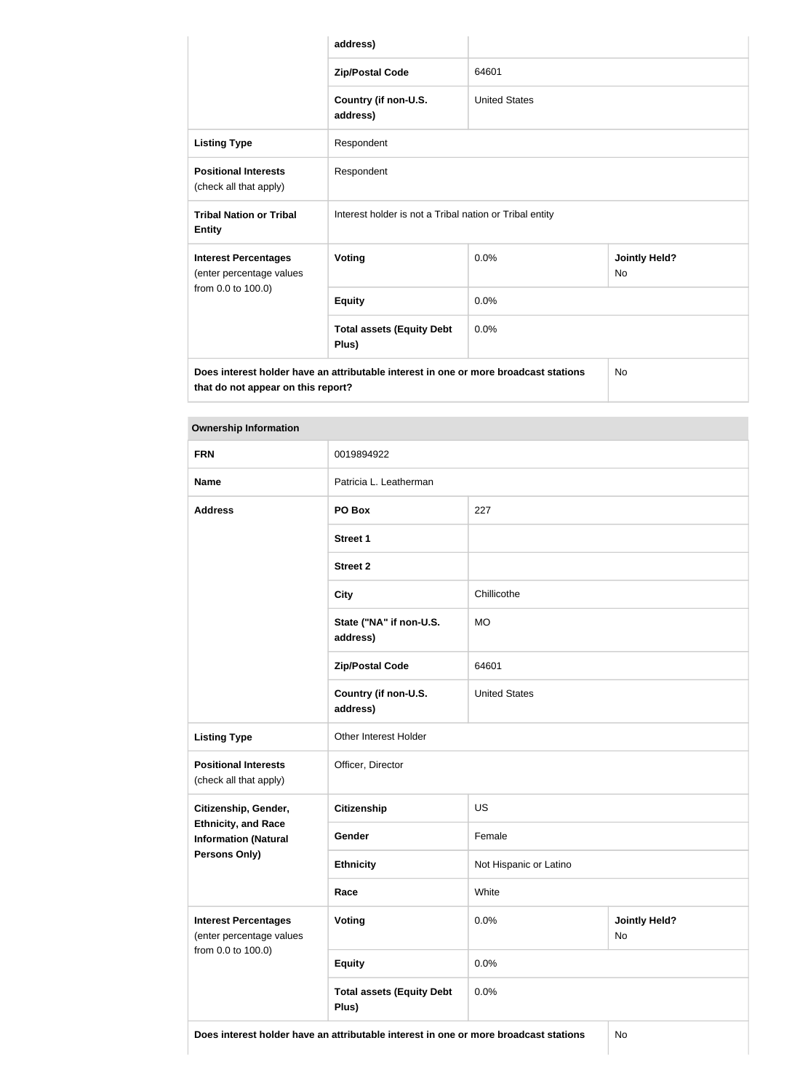|                                                                                                                                  | address)                                                |                      |                                   |
|----------------------------------------------------------------------------------------------------------------------------------|---------------------------------------------------------|----------------------|-----------------------------------|
|                                                                                                                                  | <b>Zip/Postal Code</b>                                  | 64601                |                                   |
|                                                                                                                                  | Country (if non-U.S.<br>address)                        | <b>United States</b> |                                   |
| <b>Listing Type</b>                                                                                                              | Respondent                                              |                      |                                   |
| <b>Positional Interests</b><br>(check all that apply)                                                                            | Respondent                                              |                      |                                   |
| <b>Tribal Nation or Tribal</b><br><b>Entity</b>                                                                                  | Interest holder is not a Tribal nation or Tribal entity |                      |                                   |
| <b>Interest Percentages</b><br>(enter percentage values                                                                          | <b>Voting</b>                                           | 0.0%                 | <b>Jointly Held?</b><br><b>No</b> |
| from 0.0 to 100.0)                                                                                                               | <b>Equity</b>                                           | 0.0%                 |                                   |
|                                                                                                                                  | <b>Total assets (Equity Debt</b><br>Plus)               | 0.0%                 |                                   |
| Does interest holder have an attributable interest in one or more broadcast stations<br>No<br>that do not appear on this report? |                                                         |                      |                                   |

| <b>Ownership Information</b>                              |                                           |                        |                            |  |
|-----------------------------------------------------------|-------------------------------------------|------------------------|----------------------------|--|
| <b>FRN</b>                                                | 0019894922                                |                        |                            |  |
| <b>Name</b>                                               | Patricia L. Leatherman                    |                        |                            |  |
| <b>Address</b>                                            | PO Box<br>227                             |                        |                            |  |
|                                                           | <b>Street 1</b>                           |                        |                            |  |
|                                                           | <b>Street 2</b>                           |                        |                            |  |
|                                                           | <b>City</b>                               | Chillicothe            |                            |  |
|                                                           | State ("NA" if non-U.S.<br>address)       | <b>MO</b>              |                            |  |
|                                                           | <b>Zip/Postal Code</b>                    | 64601                  |                            |  |
|                                                           | Country (if non-U.S.<br>address)          | <b>United States</b>   |                            |  |
| <b>Listing Type</b>                                       | Other Interest Holder                     |                        |                            |  |
| <b>Positional Interests</b><br>(check all that apply)     | Officer, Director                         |                        |                            |  |
| Citizenship, Gender,                                      | <b>Citizenship</b><br><b>US</b>           |                        |                            |  |
| <b>Ethnicity, and Race</b><br><b>Information (Natural</b> | Gender                                    | Female                 |                            |  |
| <b>Persons Only)</b>                                      | <b>Ethnicity</b>                          | Not Hispanic or Latino |                            |  |
|                                                           | Race                                      | White                  |                            |  |
| <b>Interest Percentages</b><br>(enter percentage values   | <b>Voting</b>                             | 0.0%                   | <b>Jointly Held?</b><br>No |  |
| from 0.0 to 100.0)                                        | <b>Equity</b>                             | 0.0%                   |                            |  |
|                                                           | <b>Total assets (Equity Debt</b><br>Plus) | 0.0%                   |                            |  |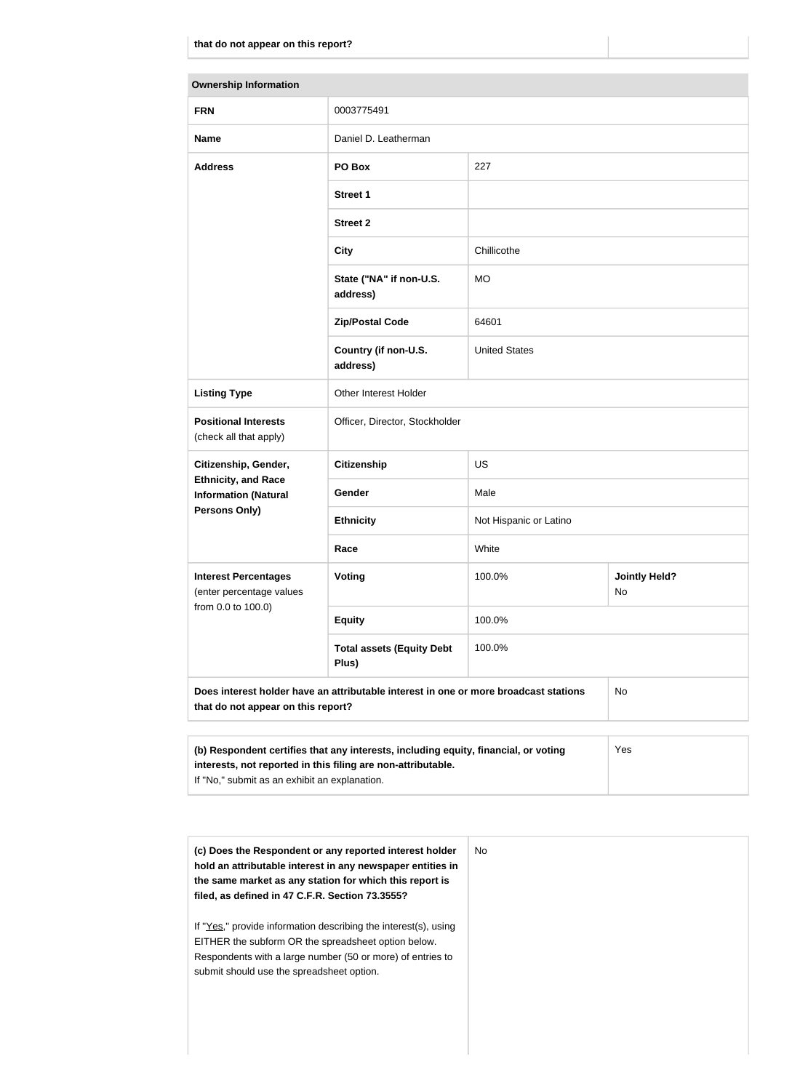| <b>Ownership Information</b>                                                               |                                                                                      |                        |                            |
|--------------------------------------------------------------------------------------------|--------------------------------------------------------------------------------------|------------------------|----------------------------|
| <b>FRN</b>                                                                                 | 0003775491                                                                           |                        |                            |
| <b>Name</b>                                                                                | Daniel D. Leatherman                                                                 |                        |                            |
| <b>Address</b>                                                                             | 227<br>PO Box                                                                        |                        |                            |
|                                                                                            | <b>Street 1</b>                                                                      |                        |                            |
|                                                                                            | <b>Street 2</b>                                                                      |                        |                            |
|                                                                                            | <b>City</b>                                                                          | Chillicothe            |                            |
|                                                                                            | State ("NA" if non-U.S.<br>address)                                                  | <b>MO</b>              |                            |
|                                                                                            | <b>Zip/Postal Code</b>                                                               | 64601                  |                            |
|                                                                                            | Country (if non-U.S.<br><b>United States</b><br>address)                             |                        |                            |
| <b>Listing Type</b>                                                                        | Other Interest Holder                                                                |                        |                            |
| <b>Positional Interests</b><br>(check all that apply)                                      | Officer, Director, Stockholder                                                       |                        |                            |
| Citizenship, Gender,                                                                       | <b>Citizenship</b>                                                                   | <b>US</b>              |                            |
| <b>Ethnicity, and Race</b><br><b>Information (Natural</b>                                  | Gender                                                                               | Male                   |                            |
| <b>Persons Only)</b>                                                                       | <b>Ethnicity</b>                                                                     | Not Hispanic or Latino |                            |
|                                                                                            | White<br>Race                                                                        |                        |                            |
| <b>Interest Percentages</b><br>(enter percentage values                                    | Voting                                                                               | 100.0%                 | <b>Jointly Held?</b><br>No |
| from 0.0 to 100.0)                                                                         | <b>Equity</b>                                                                        | 100.0%                 |                            |
|                                                                                            | <b>Total assets (Equity Debt</b><br>Plus)                                            | 100.0%                 |                            |
| that do not appear on this report?                                                         | Does interest holder have an attributable interest in one or more broadcast stations |                        | No                         |
| (b) Respondent certifies that any interests, including equity, financial, or voting<br>Yes |                                                                                      |                        |                            |

| ואז הפסףסווסטות סטרמווטס מומנ מווץ ווונטרטסנט, וווטומטוווט טקטונץ, וווומווטומו, טר דטמווט | ט ט |
|-------------------------------------------------------------------------------------------|-----|
| interests, not reported in this filing are non-attributable.                              |     |
| If "No," submit as an exhibit an explanation.                                             |     |

| (c) Does the Respondent or any reported interest holder<br>hold an attributable interest in any newspaper entities in<br>the same market as any station for which this report is<br>filed, as defined in 47 C.F.R. Section 73.3555? | No. |
|-------------------------------------------------------------------------------------------------------------------------------------------------------------------------------------------------------------------------------------|-----|
| If "Yes," provide information describing the interest(s), using<br>EITHER the subform OR the spreadsheet option below.<br>Respondents with a large number (50 or more) of entries to<br>submit should use the spreadsheet option.   |     |
|                                                                                                                                                                                                                                     |     |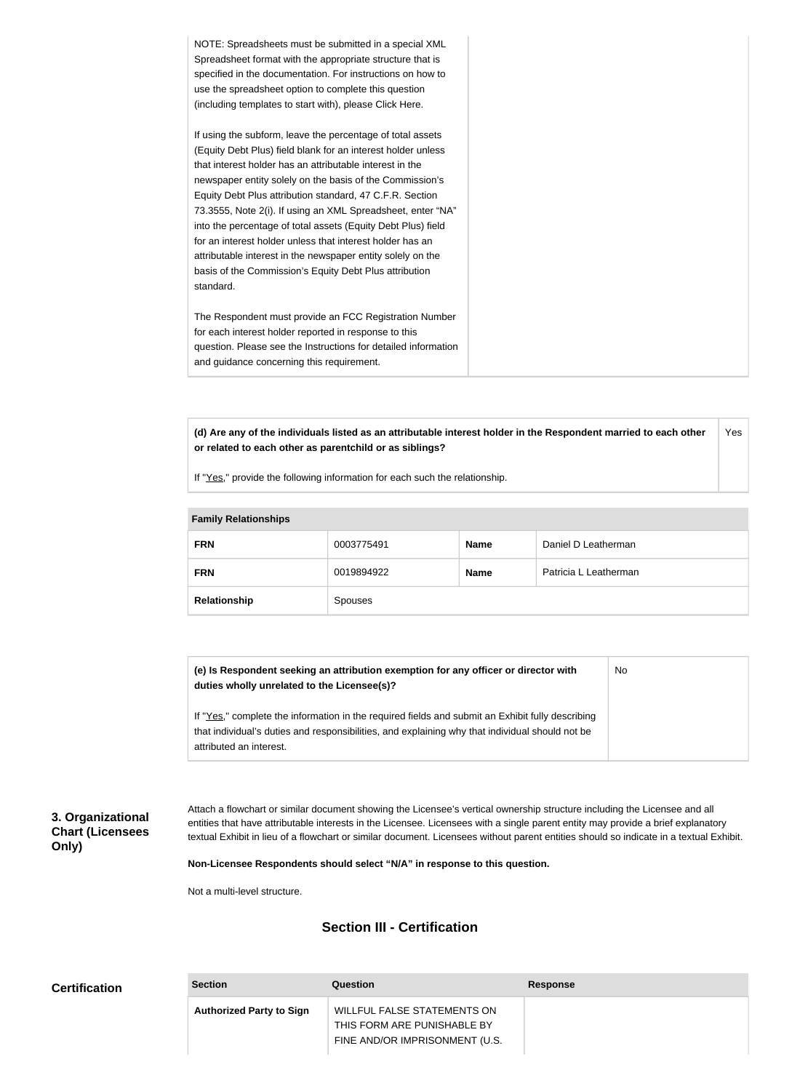| NOTE: Spreadsheets must be submitted in a special XML          |  |
|----------------------------------------------------------------|--|
| Spreadsheet format with the appropriate structure that is      |  |
| specified in the documentation. For instructions on how to     |  |
| use the spreadsheet option to complete this question           |  |
| (including templates to start with), please Click Here.        |  |
| If using the subform, leave the percentage of total assets     |  |
| (Equity Debt Plus) field blank for an interest holder unless   |  |
| that interest holder has an attributable interest in the       |  |
| newspaper entity solely on the basis of the Commission's       |  |
| Equity Debt Plus attribution standard, 47 C.F.R. Section       |  |
| 73.3555, Note 2(i). If using an XML Spreadsheet, enter "NA"    |  |
| into the percentage of total assets (Equity Debt Plus) field   |  |
| for an interest holder unless that interest holder has an      |  |
| attributable interest in the newspaper entity solely on the    |  |
| basis of the Commission's Equity Debt Plus attribution         |  |
| standard.                                                      |  |
|                                                                |  |
| The Respondent must provide an FCC Registration Number         |  |
| for each interest holder reported in response to this          |  |
| question. Please see the Instructions for detailed information |  |
| and guidance concerning this requirement.                      |  |
|                                                                |  |

**(d) Are any of the individuals listed as an attributable interest holder in the Respondent married to each other or related to each other as parentchild or as siblings?** Yes

If "Yes," provide the following information for each such the relationship.

| <b>Family Relationships</b> |            |             |                       |
|-----------------------------|------------|-------------|-----------------------|
| <b>FRN</b>                  | 0003775491 | <b>Name</b> | Daniel D Leatherman   |
| <b>FRN</b>                  | 0019894922 | <b>Name</b> | Patricia L Leatherman |
| Relationship                | Spouses    |             |                       |

**(e) Is Respondent seeking an attribution exemption for any officer or director with duties wholly unrelated to the Licensee(s)?** If "Yes," complete the information in the required fields and submit an Exhibit fully describing No

that individual's duties and responsibilities, and explaining why that individual should not be attributed an interest.

# **3. Organizational Chart (Licensees Only)**

Attach a flowchart or similar document showing the Licensee's vertical ownership structure including the Licensee and all entities that have attributable interests in the Licensee. Licensees with a single parent entity may provide a brief explanatory textual Exhibit in lieu of a flowchart or similar document. Licensees without parent entities should so indicate in a textual Exhibit.

**Non-Licensee Respondents should select "N/A" in response to this question.**

Not a multi-level structure.

# **Section III - Certification**

| <b>Certification</b> | <b>Section</b>                  | <b>Question</b>                                               | Response |
|----------------------|---------------------------------|---------------------------------------------------------------|----------|
|                      | <b>Authorized Party to Sign</b> | WILLFUL FALSE STATEMENTS ON                                   |          |
|                      |                                 | THIS FORM ARE PUNISHABLE BY<br>FINE AND/OR IMPRISONMENT (U.S. |          |